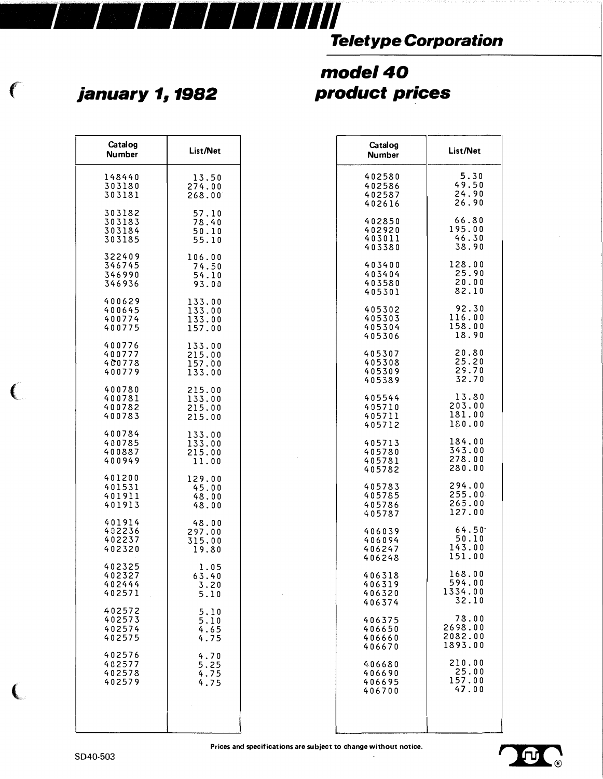

### mode/40 product prices

### january 1, 1982

 $\epsilon$ 

 $\left($ 

 $\left($ 

| Catalog<br><b>Number</b>   | List/Net                  | Catalog<br><b>Number</b>             | List/Net                        |
|----------------------------|---------------------------|--------------------------------------|---------------------------------|
| 148440<br>303180<br>303181 | 13.50<br>274.00<br>268.00 | 402580<br>402586<br>402587<br>402616 | 5.30<br>49.50<br>24.90<br>26.90 |
| 303182                     | 57.10                     | 402850                               | 66.80                           |
| 303183                     | 78.40                     | 402920                               | 195.00                          |
| 303184                     | 50.10                     | 403011                               | 46.30                           |
| 303185                     | 55.10                     | 403380                               | 38.90                           |
| 322409                     | 106.00                    | 403400                               | 128.00                          |
| 346745                     | 74.50                     | 403404                               | 25.90                           |
| 346990                     | 54.10                     | 403580                               | 20.00                           |
| 346936                     | 93.00                     | 405301                               | 82.10                           |
| 400629                     | 133.00                    | 405302                               | 92.30                           |
| 400645                     | 133.00                    | 405303                               | 116.00                          |
| 400774                     | 133.00                    | 405304                               | 158.00                          |
| 400775                     | 157.00                    | 405306                               | 18.90                           |
| 400776                     | 133.00                    | 405307                               | 20.80                           |
| 400777                     | 215.00                    | 405308                               | 25.20                           |
| 400778                     | 157.00                    | 405309                               | 29.70                           |
| 400779                     | 133.00                    | 405389                               | 32.70                           |
| 400780                     | 215.00                    | 405544                               | 13.80                           |
| 400781                     | 133.00                    | 405710                               | 203.00                          |
| 400782                     | 215.00                    | 405711                               | 181.00                          |
| 400783                     | 215.00                    | 405712                               | 180.00                          |
| 400784                     | 133.00                    | 405713                               | 184.00                          |
| 480785                     | 133.00                    | 405780                               | 343.00                          |
| 400887                     | 215.00                    | 405781                               | 278.00                          |
| 400949                     | 11.00                     | 405782                               | 280.00                          |
| 401200                     | 129.00                    | 405783                               | 294.00                          |
| 401531                     | 45.00                     | 405785                               | 255.00                          |
| 401911                     | 48.00                     | 405786                               | 265.00                          |
| 401913                     | 48.00                     | 405787                               | 127.00                          |
| 401914                     | 48.00                     | 406039                               | 64.50                           |
| 402236                     | 297.00                    | 406094                               | 50.10                           |
| 402237                     | 315.00                    | 406247                               | 143.00                          |
| 402320                     | 19.80                     | 406248                               | 151.00                          |
| 402325                     | 1.05                      | 406318                               | 168.00                          |
| 402327                     | 63.40                     | 406319                               | 594.00                          |
| 402444                     | 3.20                      | 406320                               | 1334.00                         |
| 402571                     | 5.10                      | 406374                               | 32.10                           |
| 402572                     | 5.10                      | 406375                               | 78.00                           |
| 402573                     | 5.10                      | 406650                               | 2698.00                         |
| 402574                     | 4.65                      | 406660                               | 2082.00                         |
| 402575                     | 4.75                      | 406670                               | 1893.00                         |
| 402576                     | 4.70                      | 406680                               | 210.00                          |
| 402577                     | 5.25                      | 406690                               | 25.00                           |
| 402578                     | 4.75                      | 406695                               | 157.00                          |
| 402579                     | 4.75                      | 406700                               | 47.00                           |
|                            |                           |                                      |                                 |

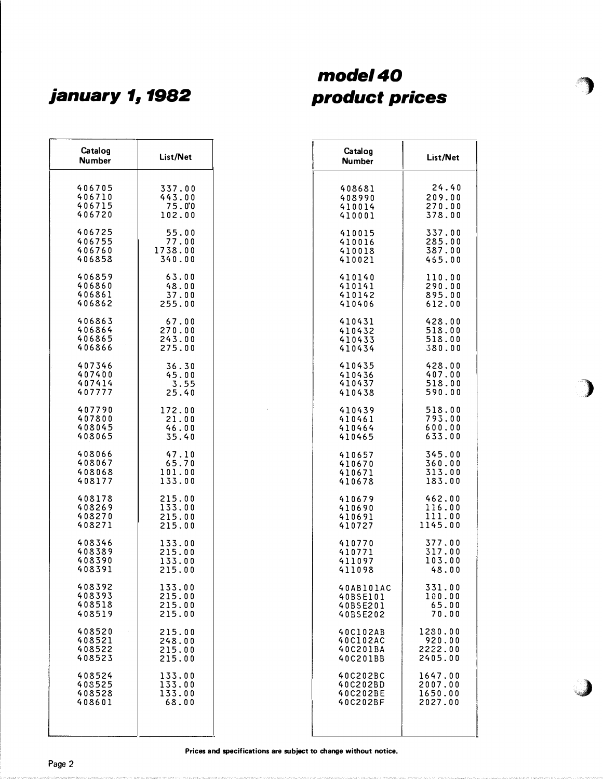### mode/40 product prices

"1

)

J

| Catalog<br>Number | <b>List/Net</b> |
|-------------------|-----------------|
| 408681            | 24.40           |
| 408990            | 209.00          |
| 410014            | 270.00          |
| 410001            | 378.00          |
| 410015            | 337.00          |
| 410016            | 285.00          |
| 410018            | 387.00          |
| 410021            | 465.00          |
| 410140            | 110.00          |
| 410141            | 290.00          |
| 410142            | 895.00          |
| 410406            | 612.00          |
| 410431            | 428.00          |
| 410432            | 518.00          |
| 410433            | 518.00          |
| 410434            | 380.00          |
| 410435            | 428.00          |
| 410436            | 407.00          |
| 410437            | 518.00          |
| 410438            | 590.00          |
| 410439            | 518.00          |
| 410461            | 793.00          |
| 410464            | 600.00          |
| 410465            | 633.00          |
| 410657            | 345.00          |
| 410670            | 360.00          |
| 410671            | 313.00          |
| 410678            | 183.00          |
| 410679            | 462.00          |
| 410690            | 116.00          |
| 410691            | 111.00          |
| 410727            | 1145.00         |
| 410770            | 377.00          |
| 410771            | 317.00          |
| 411097            | 103.00          |
| 411098            | 48.00           |
| 40AB101AC         | 331.00          |
| 40BSE101          | 100.00          |
| 40BSE201          | 65.00           |
| 40BSE202          | 70.00           |
| 40C102AB          | 1280.00         |
| 40C102AC          | 920.00          |
| 40C201BA          | 2222.00         |
| 40C201BB          | 2405.00         |
| 40C202BC          | 1647.00         |
| 40C202BD          | 2007.00         |
| 40C202BE          | 1650.00         |
| 40C202BF          | 2027.00         |
|                   |                 |

I

i

Prices and specifications are subject to change without notice.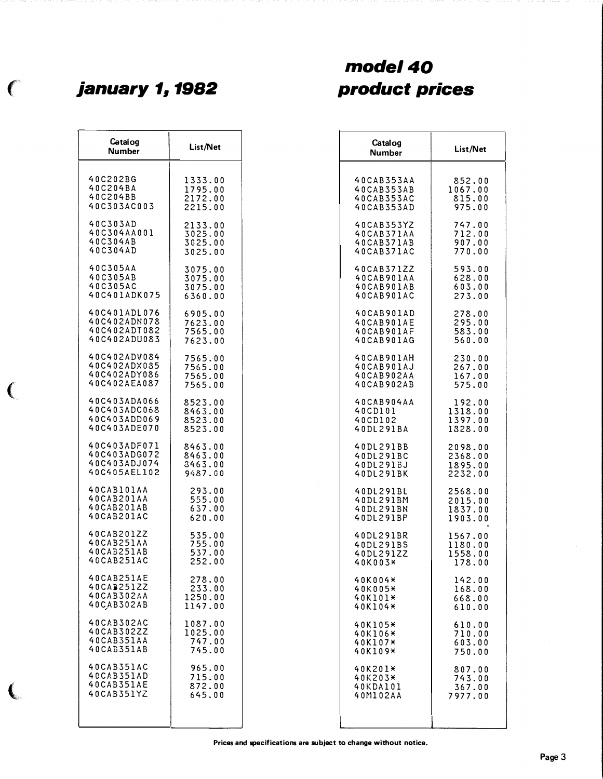$\epsilon$ 

 $\big($ 

 $\big($ 

### mode/40 product prices

| Catalog<br><b>Number</b> | List/Net | Catalog<br><b>Number</b> | List/Net |
|--------------------------|----------|--------------------------|----------|
| 40C202BG                 | 1333.00  | 40CAB353AA               | 852.00   |
| 40C204BA                 | 1795.00  | 40CAB353AB               | 1067.00  |
| 40C204BB                 | 2172.00  | 40CAB353AC               | 815.00   |
| 40C303AC003              | 2215.00  | 40CAB353AD               | 975.00   |
| 40C303AD                 | 2133.00  | 40CAB353YZ               | 747.00   |
| 40C304AA001              | 3025.00  | 40CAB371AA               | 712.00   |
| 40C304AB                 | 3025.00  | 40CAB371AB               | 907.00   |
| 40C304AD                 | 3025.00  | 40CAB371AC               | 770.00   |
| 40C305AA                 | 3075.00  | 40CAB371ZZ               | 593.00   |
| 40C305AB                 | 3075.00  | 40CAB901AA               | 628.00   |
| 40C305AC                 | 3075.00  | 40CAB901AB               | 603.00   |
| 40C401ADK075             | 6360.00  | 40CAB901AC               | 273.00   |
| 40C401ADL076             | 6905.00  | 40CAB901AD               | 278.00   |
| 40C402ADN078             | 7623.00  | 40CAB901AE               | 295.00   |
| 40C402ADT082             | 7565.00  | 40CAB901AF               | 583.00   |
| 40C402ADU083             | 7623.00  | 40CAB901AG               | 560.00   |
| 40C402ADV084             | 7565.00  | 40CAB901AH               | 230.00   |
| 40C402ADX085             | 7565.00  | 40CAB901AJ               | 267.00   |
| 40C402ADY086             | 7565.00  | 40CAB902AA               | 167.00   |
| 40C402AEA087             | 7565.00  | 40CAB902AB               | 575.00   |
| 40C403ADA066             | 8523.00  | 40CAB904AA               | 192.00   |
| 40C403ADC068             | 8463.00  | 40CD101                  | 1318.00  |
| 40C403ADD069             | 8523.00  | 40CD102                  | 1397.00  |
| 40C403ADE070             | 8523.00  | 40DL291BA                | 1328.00  |
| 40C403ADF071             | 8463.00  | 40DL291BB                | 2098.00  |
| 40C403ADG072             | 8463.00  | 40DL291BC                | 2368.00  |
| 40C403ADJ074             | 3463.00  | 40DL2916J                | 1895.00  |
| 40C405AEL102             | 9487.00  | 40DL291BK                | 2232.00  |
| 40CAB101AA               | 293.00   | 40DL291BL                | 2568.00  |
| 40CAB201AA               | 555.00   | 40DL291BM                | 2015.00  |
| 40CAB201AB               | 637.00   | 40DL291BN                | 1837.00  |
| 40CAB201AC               | 620.00   | 40DL291BP                | 1903.00  |
| 40CAB201ZZ               | 535.00   | 40DL291BR                | 1567.00  |
| 40CAB251AA               | 755.00   | 40DL291BS                | 1180.00  |
| 40CAB251AB               | 537.00   | 40DL291ZZ                | 1558.00  |
| 40CAB251AC               | 252.00   | $40K003*$                | 178.00   |
| 40CAB251AE               | 278.00   | $40K004*$                | 142.00   |
| 40CAB251ZZ               | 233.00   | 40K005*                  | 168.00   |
| 40CAB302AA               | 1250.00  | $40K101*$                | 668.00   |
| 40CAB302AB               | 1147.00  | $40K104*$                | 610.00   |
| 40CAB302AC               | 1087.00  | 40K105*                  | 610.00   |
| 40CAB302ZZ               | 1025.00  | 40K106*                  | 710.00   |
| 40CAB351AA               | 747.00   | 40K107*                  | 603.00   |
| 40CAB351AB               | 745.00   | $40K109*$                | 750.00   |
| 40CAB351AC               | 965.00   | 40K201*                  | 807.00   |
| 40CAB351AD               | 715.00   | 40K203*                  | 743.00   |
| 40CAB351AE               | 872.00   | 40KDA101                 | 367.00   |
| 40CAB351YZ               | 645.00   | 40M102AA                 | 7977.00  |
|                          |          |                          |          |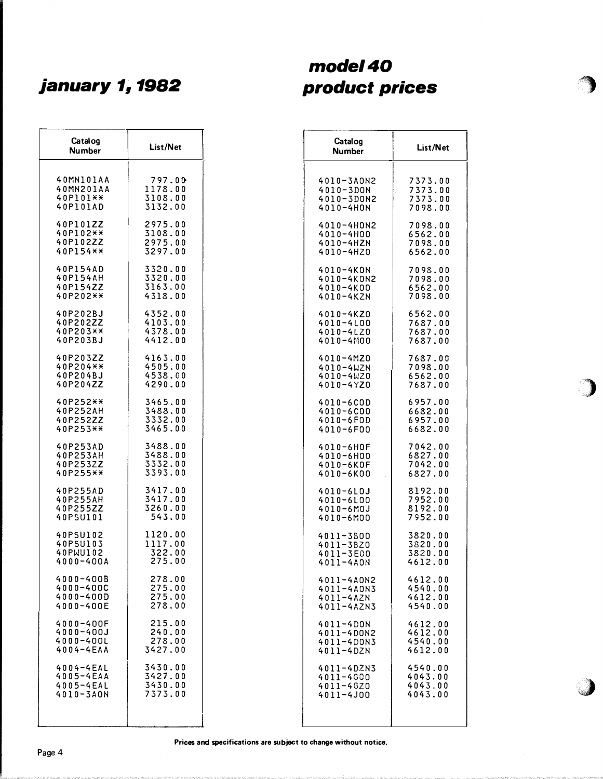### mode/40 product prices

�·,

 $\blacktriangleright$ 

;)

I I

| Catalog<br><b>Number</b> | List/Net | Catalog<br><b>Number</b> | List/Net |
|--------------------------|----------|--------------------------|----------|
| 40MN101AA                | 797.00   | 4010-3AON2               | 7373.00  |
| 40MN201AA                | 1178.00  | 4010-3DON                | 7373.00  |
| $40P101$ **              | 3108.00  | 4010-3DON2               | 7373.00  |
| 40Pl0lAD                 | 3132.00  | 4010-4HON                | 7098.00  |
| 40P101ZZ                 | 2975.00  | 4010-4HON2               | 7098.00  |
| $40P102**$               | 3108.00  | 4010-4H00                | 6562.00  |
| 40P102ZZ                 | 2975.00  | 4010-4HZN                | 7098.00  |
| $40P154$ **              | 3297.00  | 4010-4HZ0                | 6562.00  |
| 40P154AD                 | 3320.00  | 4010-4KON                | 7098.00  |
| 40P154AH                 | 3320.00  | 4010-4KON2               | 7098.00  |
| 40P154ZZ                 | 3163.00  | 4010-4KOO                | 6562.00  |
| 40P202**                 | 4318.00  | 4010-4KZN                | 7098.00  |
| 40P202BJ                 | 4352.00  | 4010-4KZ0                | 6562.00  |
| 40P202ZZ                 | 4103.00  | 4010-4L00                | 7687.00  |
| 40P203**                 | 4378.00  | 4010-4LZ0                | 7687.00  |
| 40P203BJ                 | 4412.00  | $4010 - 41100$           | 7687.00  |
| 40P203ZZ                 | 4163.00  | 4010-4MZ0                | 7687.09  |
| 40P204**                 | 4505.00  | 4010-4WZN                | 7098.00  |
| 40P204BJ                 | 4538.00  | 4010-4WZ0                | 6562.00  |
| 40P204ZZ                 | 4290.00  | $4010 - 4YZ0$            | 7687.00  |
| 40P252**                 | 3465.00  | $4010 - 6COD$            | 6957.00  |
| 40P252AH                 | 3488.00  | 4010-6C00                | 6682.00  |
| 40P252ZZ                 | 3332.00  | 4010-6FOD                | 6957.00  |
| 40P253**                 | 3465.00  | 4010-6F00                | 6682.00  |
| 40P253AD                 | 3488.00  | 4010-6HOF                | 7042.00  |
| 40P253AH                 | 3488.00  | 4010-6H00                | 6827.00  |
| 40P253ZZ                 | 3332.00  | 4010-6KOF                | 7042.00  |
| 40P255**                 | 3393.00  | 4010-6K00                | 6827.00  |
| 40P255AD                 | 3417.00  | 4010-6LOJ                | 8192.00  |
| 40P255AH                 | 3417.00  | 4010-6L00                | 7952.00  |
| 40P255ZZ                 | 3260.00  | 4010-6MOJ                | 8192.00  |
| 40PSU101                 | 543.00   | 4010-6M00                | 7952.00  |
| 40PSU102                 | 1120.00  | 4011-3800                | 3820.00  |
| 40PSU103                 | 1117.00  | 4011-3BZ0                | 3820.00  |
| 40PWU102                 | 322.00   | 4011-3E00                | 3820.00  |
| 4000-400A                | 275.00   | 4011-4AON                | 4612.00  |
| 4000-400B                | 278.00   | 4011-4A0N2               | 4612.00  |
| $4000 - 400C$            | 275.00   | 4011-4A0N3               | 4540.00  |
| 4000-400D                | 275.00   | 4011-4AZN                | 4612.00  |
| 4000-400E                | 278.00   | $4011 - 4A2N3$           | 4540.00  |
| 4000-400F                | 215.00   | 4011-4DON                | 4612.00  |
| 4000-400J                | 240.00   | 4011-4DON2               | 4612.00  |
| $4000 - 4001$            | 278.00   | 4011-4DON3               | 4540.00  |
| $4004 - 4EAA$            | 3427.00  | 4011-4DZN                | 4612.00  |
| 4004-4EAL                | 3430.00  | 4011-4DZN3               | 4540.00  |
| 4005-4EAA                | 3427.00  | 4011-4600                | 4043.00  |
| 4005-4EAL                | 3430.00  | 4011-46Z0                | 4043.00  |
| 4010-3AON                | 7373.00  | 4011-4J00                | 4043.00  |
|                          |          |                          |          |

Prices and specifications are subject to change without notice.

.<br>Concept contractor mission stripes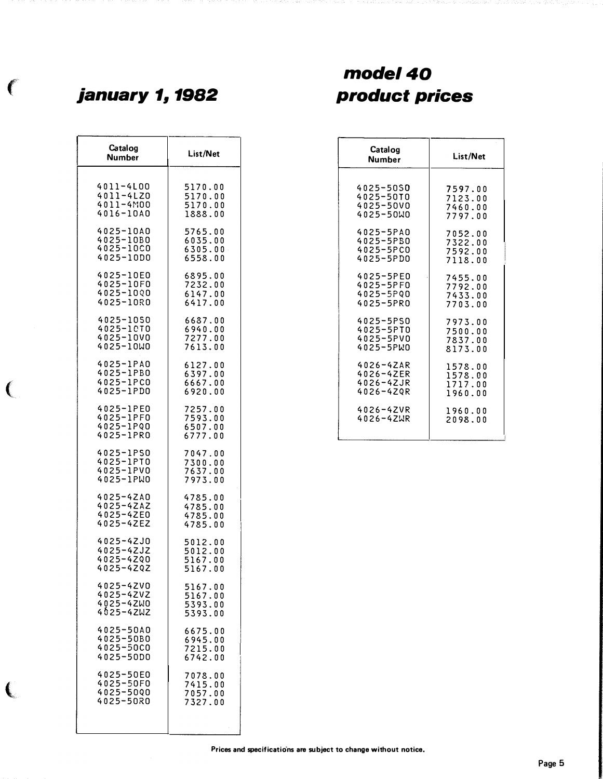$\epsilon$ 

 $\left($ 

 $\left($ 

#### Catalog List/Net 4011-4l00 5170.00 5170.00<br>5170.00  $4011 - 4M00$ 4016-10AO 1888.00 4025-10AO 5765.00 4025-10BO 6035.00 4025-10CO 6305.00 4025-1000 6558.00 4025-10EO 6895.00 4025-10F0 7232.00<br>4025-1090 6147.00 4025-10QO 6147.00 4025-10RO 6417.00 4025-1050 6637.00 4025-10TO 6940.00 4025-10VO 7277.00 4025-10WO 7613.00 4025-1PAO 6127.00 4025-1PBO 6397.00 4025-1PCO 6667.00 4025-1PDO 6920.00 4025-1PEO 7257.00 4025-1PFO 7593.00 4025-1PQO 6507.00<br>4025-1PRO 6507.00 4025-1PRO 4025-1PSO 7047.00 4025-1PTO 7300.00 4025-1PVO 7637.00 4025-1PWO 7973.00 4025-4ZAO 4785.00 4025-4ZAZ 4785.00 4025-4ZEO 4785.00 4025-4ZEZ 4785.00 4025-4ZJO 5012.00 4025-4ZJZ 4025-4200 5167.00<br>4025-4202 5167.00  $4025 - 4202$ 4025-4ZVO 5167.00<br>4025-4ZVZ 5167.00 4025-4ZVZ 4025-4ZWO 5393.00<br>4025-4ZWZ 5393.00  $4025 - 42WZ$ 4025-50AO 6675.00<br>4025-50BO 6945.00 4025-50BO 6945.00 4025-SOCO 7215.00 4025-5000 6742.00 4025-50EO 7078.00 4025-50F0 7415.00<br>4025-5000 7057.00 4025-5000 7057.00<br>4025-50R0 7327.00 4025-50RO 7327.00

### mode/40 product prices

| Catalog<br><b>Number</b> | List/Net |
|--------------------------|----------|
| 4025-50SO                | 7597.00  |
| 4025-50T0                | 7123.00  |
| 4025-50V0                | 7460.00  |
| 4025-50W0                | 7797.00  |
| 4025-5PA0                | 7052.00  |
| 4025-5PB0                | 7322.00  |
| 4025-5PC0                | 7592.00  |
| 4025-5PD0                | 7118.00  |
| 4025-5PE0                | 7455.00  |
| 4025-5PF0                | 7792.00  |
| 4025-5PQ0                | 7433.00  |
| 4025-5PR0                | 7703.00  |
| 4025-5PS0                | 7973.00  |
| 4025-5PT0                | 7500.00  |
| 4025-5PV0                | 7837.00  |
| 4025-5PW0                | 8173.00  |
| 4026-4ZAR                | 1578.00  |
| 4026-4ZER                | 1578.00  |
| 4026-4ZJR                | 1717.00  |
| 4026-4ZQR                | 1960.00  |
| 4026-4ZVR                | 1960.00  |
| 4026-4ZWR                | 2098.00  |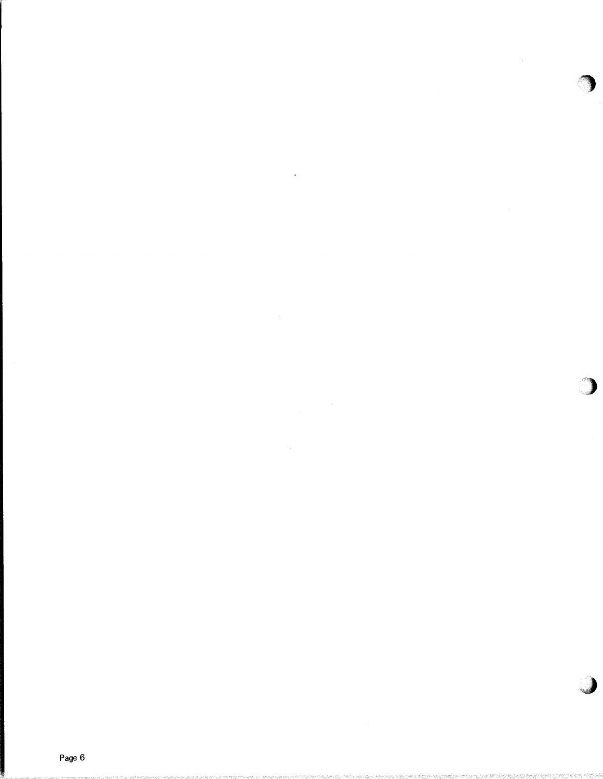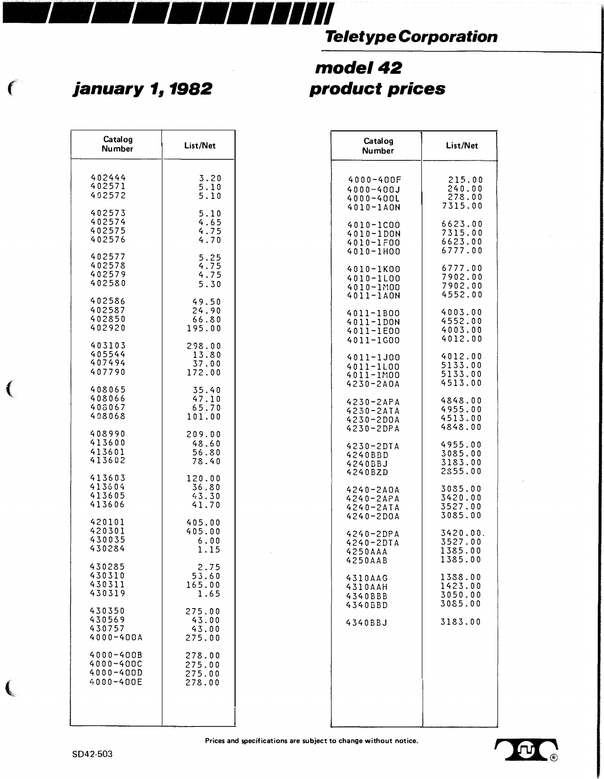### model 42 product prices

# january 1, 1982

 $\left($ 

 $\big($ 

 $\left($ 

| Catalog<br><b>Number</b>                         | List/Net                             | Catalog<br><b>Number</b>                             | List/Net                                 |
|--------------------------------------------------|--------------------------------------|------------------------------------------------------|------------------------------------------|
| 402444<br>402571<br>402572                       | 3.20<br>5.10<br>5.10                 | 4000-400F<br>$4000 - 400J$<br>4000-400L<br>4010-1AON | 215.00<br>240.00<br>278.00<br>7315.00    |
| 402573                                           | 5.10                                 | 4010-1000                                            | 6623.00                                  |
| 402574                                           | 4.65                                 | 4010-1DON                                            | 7315.00                                  |
| 402575                                           | 4.75                                 | 4010-1F00                                            | 6623.00                                  |
| 402576                                           | 4.70                                 | 4010-1H00                                            | 6777.00                                  |
| 402577<br>402578<br>402579<br>402580             | 5.25<br>4.75<br>4.75<br>5.30         | 4010-1K00<br>4010-1100<br>4010-1M00                  | 6777.00<br>7902.00<br>7902.00<br>4552.00 |
| 402586                                           | 49.50                                | 4011-1AON                                            | 4003.00                                  |
| 402587                                           | 24.90                                | 4011-1B00                                            | 4552.00                                  |
| 402850                                           | 66.80                                | 4011-1DON                                            | 4003.00                                  |
| 402920                                           | 195.00                               | 4011-1E00                                            | 4012.00                                  |
| 403103                                           | 298.00                               | 4011-1G00                                            | 4012.00                                  |
| 405544                                           | 13.80                                | 4011-1J00                                            | 5133.00                                  |
| 407494                                           | 37.00                                | 4011-1L00                                            | 5133.00                                  |
| 407790                                           | 172.00                               | 4011-1M00                                            | 4513.00                                  |
| 408065                                           | 35.40                                | 4230-2AOA                                            | 4848.00                                  |
| 408066                                           | 47.10                                | 4230-2APA                                            | 4955.00                                  |
| 408067                                           | 65.70                                | $4230 - 2ATA$                                        | 4513.00                                  |
| 408068                                           | 101.00                               | 4230-2DOA                                            | 4848.00                                  |
| 408990                                           | 209.00                               | 4230-2DPA                                            | 4955.00                                  |
| 413600                                           | 48.60                                | 4230-2DTA                                            | 3085.00                                  |
| 413601                                           | 56.80                                | 4240BBD                                              | 3183.00                                  |
| 413602                                           | 78.40                                | 4240BBJ                                              | 2855.00                                  |
| 413603                                           | 120.00                               | 4240BZD                                              | 3085.00                                  |
| 413604                                           | 36.80                                | 4240-2AOA                                            | 3420.00                                  |
| 413605                                           | 43.30                                | $4240 - 2APA$                                        | 3527.00                                  |
| 413606                                           | 41.70                                | 4240-2ATA                                            | 3085.00                                  |
| 420101                                           | 405.00                               | 4240-2DOA                                            | 3420.00.                                 |
| 420301                                           | 405.00                               | 4240-2DPA                                            | 3527.00                                  |
| 430035                                           | 6.00                                 | 4240-2DTA                                            | 1385.00                                  |
| 430284                                           | 1.15                                 | 4250AAA                                              | 1385.00                                  |
| 430285<br>430310<br>430311<br>430319             | 2.75<br>53.60<br>165.00<br>1.65      | 4250AAB<br>4310AAG<br>4310AAH<br>4340BBB             | 1388.00<br>1423.00<br>3050.00            |
| 430350<br>430569<br>430757<br>4000-400A          | 275.00<br>43.00<br>43.00<br>275.00   | 4340BBD<br>4340BBJ                                   | 3085.00<br>3183.00                       |
| 4000-400B<br>4000-400C<br>4000-400D<br>4000-400E | 278.00<br>275.00<br>275.00<br>278.00 |                                                      |                                          |
|                                                  |                                      |                                                      |                                          |

/



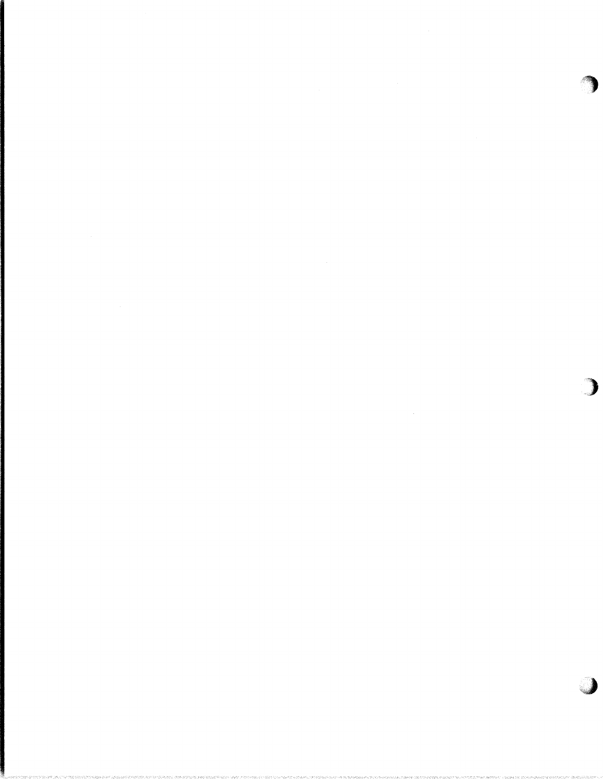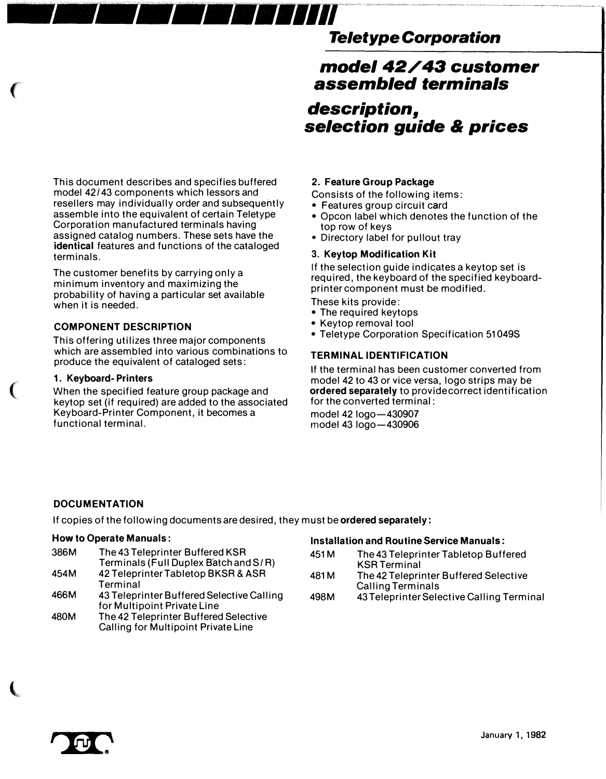### model 42/43 customer assembled terminals

### description. selection guide & prices

This document describes and specifies buffered model 42/43 components which lessors and resellers may individually order and subsequently assemble into the equivalent of certain Teletype Corporation manufactured terminals having assigned catalog numbers. These sets have the identical features and functions of the cataloged terminals.

The customer benefits by carrying only a minimum inventory and maximizing the probability of having a particular set available when it is needed.

#### COMPONENT DESCRIPTION

This offering utilizes three major components which are assembled into various combinations to produce the equivalent of cataloged sets:

#### 1. Keyboard- Printers

f

 $\big($ 

(

When the specified feature group package and keytop set (if required) are added to the associated Keyboard-Printer Component, it becomes a functional terminal.

#### 2. Feature Group Package

Consists of the following items:

- Features group circuit card
- Opcon label which denotes the function of the top row of keys
- Directory label for pullout tray

#### 3. Keytop Modification Kit

If the selection guide indicates a keytop set is required, the keyboard of the specified keyboardprinter component must be modified.

These kits provide:

- The required keytops
- Keytop removal tool
- Teletype Corporation Specification 51049S

#### TERMINAL IDENTIFICATION

If the terminal has been customer converted from model 42 to 43 or vice versa, logo strips may be ordered separately to provide correct identification for the converted terminal:

model 42 logo-430907 model 43 logo-430906

#### DOCUMENTATION

If copies of the following documents are desired, they must be ordered separately:

#### How to Operate Manuals:

| 386M | The 43 Teleprinter Buffered KSR<br>Terminals (Full Duplex Batch and S/R)     |
|------|------------------------------------------------------------------------------|
| 454M | 42 Teleprinter Tabletop BKSR & ASR<br>Terminal                               |
| 466M | 43 Teleprinter Buffered Selective Calling<br>for Multipoint Private Line     |
| 480M | The 42 Teleprinter Buffered Selective<br>Calling for Multipoint Private Line |

#### Installation and Routine Service Manuals:

- 451 M The43 Teleprinter Tabletop Buffered KSRTerminal
- 481 M The 42 Teleprinter Buffered Selective Calling Terminals
- 498M 43 Teleprinter Selective Calling Terminal

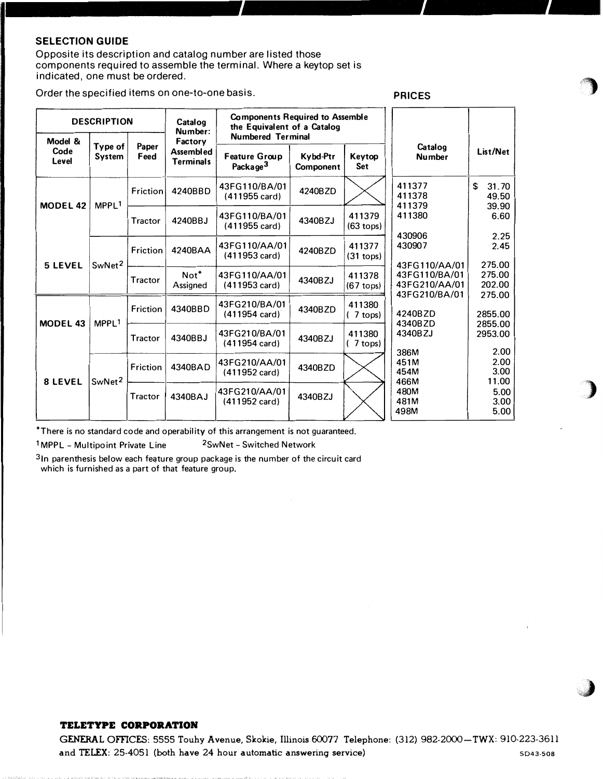#### SELECTION GUIDE

Opposite its description and catalog number are listed those components required to assemble the terminal. Where a keytop set is indicated, one must be ordered.

Order the specified items on one-to-one basis.

| <b>DESCRIPTION</b>       |                          | <b>Components Required to Assemble</b><br>Catalog<br>the Equivalent of a Catalog<br>Number: |                                                 |                                                                          |                              |                       |                                                 |                               |
|--------------------------|--------------------------|---------------------------------------------------------------------------------------------|-------------------------------------------------|--------------------------------------------------------------------------|------------------------------|-----------------------|-------------------------------------------------|-------------------------------|
| Model &<br>Code<br>Level | Type of<br><b>System</b> | Paper<br>Feed                                                                               | Factory<br><b>Assembled</b><br><b>Terminals</b> | <b>Numbered Terminal</b><br><b>Feature Group</b><br>Package <sup>3</sup> | Kybd-Ptr<br><b>Component</b> | Keytop<br><b>Set</b>  | Catalog<br><b>Number</b>                        | List/Net                      |
| <b>MODEL 42</b>          | MPPL <sup>1</sup>        | Friction                                                                                    | 4240BBD                                         | 43FG110/BA/01<br>(411955 card)                                           | 4240BZD                      |                       | 411377<br>411378<br>411379                      | \$<br>31.70<br>49.50<br>39.90 |
|                          |                          | <b>Tractor</b>                                                                              | 4240BBJ                                         | 43FG110/BA/01<br>(411955 card)                                           | 4340BZJ                      | 411379<br>$(63$ tops) | 411380<br>430906                                | 6.60                          |
| 5 LEVEL                  | SwNet <sup>2</sup>       | Friction                                                                                    | 4240BAA                                         | 43FG110/AA/01<br>(411953 card)                                           | 4240BZD                      | 411377<br>$(31$ tops) | 430907<br>43FG110/AA/01                         | 2.25<br>2.45<br>275.00        |
|                          |                          | <b>Tractor</b>                                                                              | Not*<br>Assigned                                | 43FG110/AA/01<br>(411953 card)                                           | 4340BZJ                      | 411378<br>$(67$ tops) | 43FG110/BA/01<br>43FG210/AA/01<br>43FG210/BA/01 | 275.00<br>202.00<br>275.00    |
| <b>MODEL 43</b>          | MPPL <sup>1</sup>        | Friction                                                                                    | 4340BBD                                         | 43FG210/BA/01<br>$(411954 \text{ card})$                                 | 4340BZD                      | 411380<br>$(7$ tops)  | 4240BZD<br>4340BZD                              | 2855.00<br>2855.00            |
|                          |                          | <b>Tractor</b>                                                                              | 4340BBJ                                         | 43FG210/BA/01<br>(411954 card)                                           | 4340BZJ                      | 411380<br>$(7$ tops)  | 4340BZJ<br>386M                                 | 2953.00<br>2.00               |
| 8 LEVEL                  |                          | Friction                                                                                    | 4340BAD                                         | 43FG210/AA/01<br>(411952 card)                                           | 4340BZD                      |                       | 451M<br>454M<br>466M                            | 2.00<br>3.00<br>11.00         |
|                          | SwNet <sup>2</sup>       | <b>Tractor</b>                                                                              | 4340BAJ                                         | 43FG210/AA/01<br>(411952 card)                                           | 4340BZJ                      |                       | 480M<br>481M<br>498M                            | 5.00<br>3.00<br>5.00          |

PRICES

\*There is no standard code and operability of this arrangement is not guaranteed.

<sup>1</sup>MPPL - Multipoint Private Line <sup>2</sup>SwNet - Switched Network

<sup>3</sup>In parenthesis below each feature group package is the number of the circuit card which is furnished as a part of that feature group.

#### TELETYPE CORPORATION

GENERAL OFFICES: 5555 Touhy Avenue, Skokie, Illinois 60077 Telephone: (312) 982-2000-TWX: 910-223-3611 and TELEX: 25-4051 (both have 24 hour automatic answering service) 5043-508

�)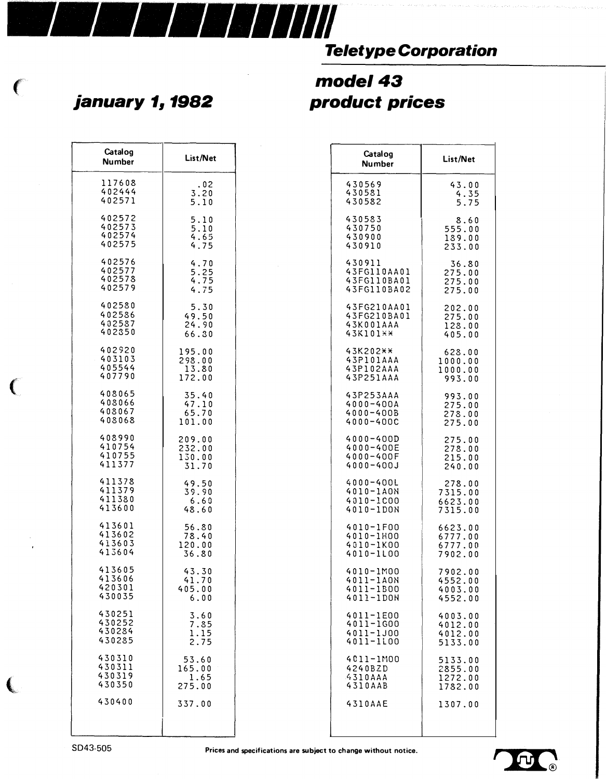### january 1, 1982

 $\epsilon$ 

 $\big($ 

 $\left($ 

 $\overline{a}$ 

### mode/43 product prices

| Catalog<br><b>Number</b>             | List/Net                            | Catalog<br><b>Number</b>                                 | List/Net                                 |
|--------------------------------------|-------------------------------------|----------------------------------------------------------|------------------------------------------|
| 117608<br>402444<br>402571           | .02<br>3.20<br>5.10                 | 430569<br>430581<br>430582                               | 43.00<br>4.35<br>5.75                    |
| 402572<br>402573<br>402574<br>402575 | 5.10<br>5.10<br>4.65<br>4.75        | 430583<br>430750<br>430900<br>430910                     | 8.60<br>555.00<br>189.00<br>233.00       |
| 402576<br>402577<br>402578<br>402579 | 4.70<br>5.25<br>4.75<br>4.75        | 430911<br>43FG110AA01<br>43FG110BA01<br>43FG110BA02      | 36.80<br>275.00<br>275.00<br>275.00      |
| 402580<br>402586<br>402587<br>402350 | 5.30<br>49.50<br>24.90<br>66.30     | 43FG210AA01<br>43FG210BA01<br>43K001AAA<br>43K101**      | 202.00<br>275.00<br>128.00<br>405.00     |
| 402920<br>403103<br>405544<br>407790 | 195.00<br>298.00<br>13.80<br>172.00 | 43K202**<br>43P101AAA<br>43P102AAA<br>43P251AAA          | 628.00<br>1000.00<br>1000.00<br>993.00   |
| 408065<br>408066<br>408067<br>408068 | 35.40<br>47.10<br>65.70<br>101.00   | 43P253AAA<br>$4000 - 400A$<br>4000-400B<br>$4000 - 400C$ | 993.00<br>275.00<br>278.00<br>275.00     |
| 408990<br>410754<br>410755<br>411377 | 209.00<br>232.00<br>130.00<br>31.70 | 4000-400D<br>4000-400E<br>4000-400F<br>4000-400J         | 275.00<br>278.00<br>215.00<br>240.00     |
| 411378<br>411379<br>411380<br>413600 | 49.50<br>39.90<br>6.60<br>48.60     | 4000-400L<br>4010-1A0N<br>$4010 - 1000$<br>4010-1DON     | 278.00<br>7315.00<br>6623.00<br>7315.00  |
| 413601<br>413602<br>413603<br>413604 | 56.80<br>78.40<br>120.00<br>36.80   | 4010-1F00<br>4010-1H00<br>4010-1K00<br>4010-1100         | 6623.00<br>6777.00<br>6777.00<br>7902.00 |
| 413605<br>413606<br>420301<br>430035 | 43.30<br>41.70<br>405.00<br>6.00    | 4010-1M00<br>4011-1A0N<br>4011-1500<br>4011-1DON         | 7902.00<br>4552.00<br>4003.00<br>4552.00 |
| 430251<br>430252<br>430284<br>430285 | 3.60<br>7.85<br>1.15<br>2.75        | 4011-1E00<br>4011-1G00<br>4011-1J00<br>4011-1100         | 4003.00<br>4012.00<br>4012.00<br>5133.00 |
| 430310<br>430311<br>430319<br>430350 | 53.60<br>165.00<br>1.65<br>275.00   | 4011-1M00<br>4240BZD<br>4310AAA<br>4310AAB               | 5133.00<br>2855.00<br>1272.00<br>1782.00 |
| 430400                               | 337.00                              | 4310AAE                                                  | 1307.00                                  |
|                                      |                                     |                                                          |                                          |

**Experience** 

SD43-505 Prices and specifications are subject to change without notice.

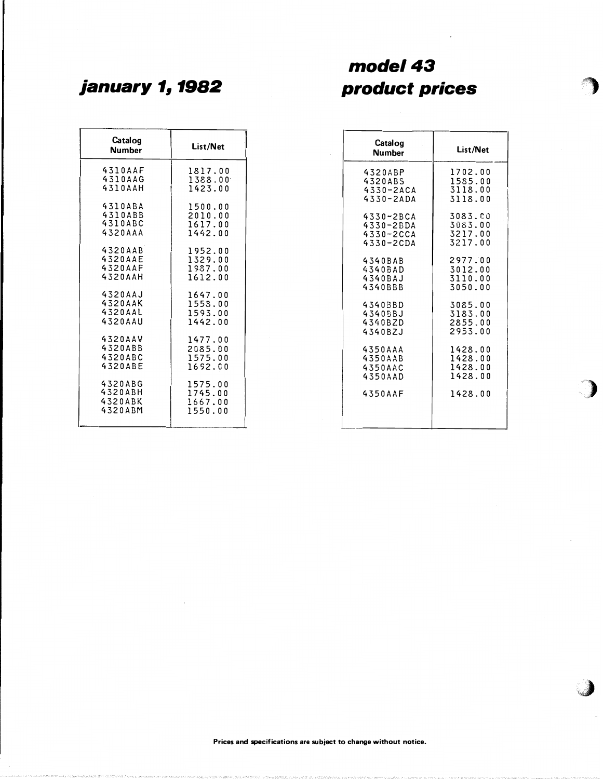| Catalog<br><b>Number</b> | List/Net |
|--------------------------|----------|
| 4310AAF                  | 1817.00  |
| 4310AAG                  | 1388.00  |
| 4310AAH                  | 1423.00  |
| 4310ABA                  | 1500.00  |
| 4310ABB                  | 2010.00  |
| 4310ABC                  | 1617.00  |
| 4320AAA                  | 1442.00  |
| 4320AAB                  | 1952.00  |
| 4320AAE                  | 1329.00  |
| 4320AAF                  | 1987.00  |
| 4320AAH                  | 1612.00  |
| 4320AAJ                  | 1647.00  |
| 4320AAK                  | 1558.00  |
| 4320AAL                  | 1593.00  |
| 4320AAU                  | 1442.00  |
| 4320AAV                  | 1477.00  |
| 4320ABB                  | 2085.00  |
| 4320ABC                  | 1575.00  |
| 4320ABE                  | 1692.00  |
| 4320ABG                  | 1575.00  |
| 4320ABH                  | 1745.00  |
| 4320ABK                  | 1667.00  |
| 4320ABM                  | 1550.00  |

### mode/43 product prices

| <b>Catalog</b><br><b>Number</b> | List/Net |
|---------------------------------|----------|
| 4320ABP                         | 1702.00  |
| 4320ABS                         | 1585.00  |
| $4330 - 2ACA$                   | 3118.00  |
| 4330-2ADA                       | 3118.00  |
| $4330 - 2BCA$                   | 3083.00  |
| 4330-2BDA                       | 3083.00  |
| $4330 - 2CCA$                   | 3217.00  |
| $4330 - 2CDA$                   | 3217.00  |
| 4340BAB                         | 2977.00  |
| 4340BAD                         | 3012.00  |
| 4340BAJ                         | 3110.00  |
| 4340BBB                         | 3050.00  |
| 4340BBD                         | 3085.00  |
| 43405BJ                         | 3183.00  |
| 4340BZD                         | 2855.00  |
| 4340BZJ                         | 2953.00  |
| 4350AAA                         | 1428.00  |
| 4350AAB                         | 1428.00  |
| 4350AAC                         | 1428.00  |
| 4350AAD                         | 1428.00  |
| <b>4350AAF</b>                  | 1428.00  |

,j

Prices and specifications are subject to change without notice.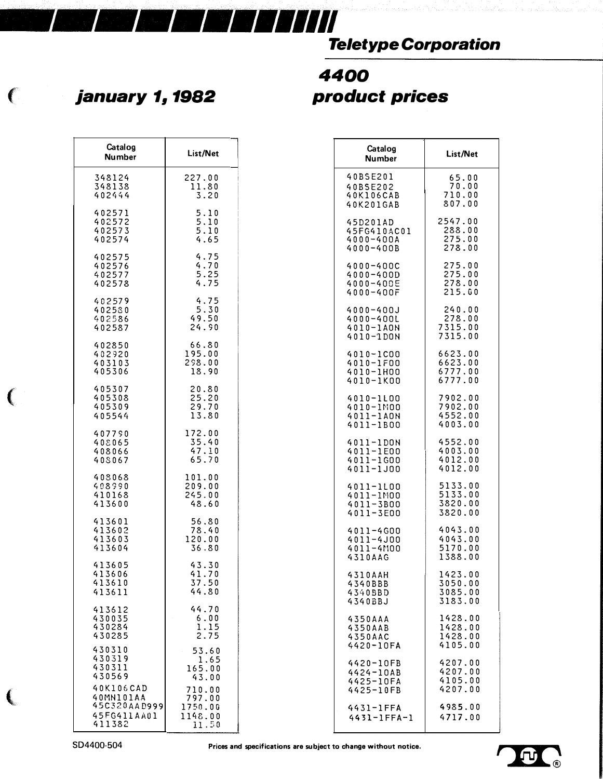

### 4400 product prices

### january 1, 1982

 $\big($ 

 $\big($ 

 $\big($ 

| Catalog<br><b>Number</b>                           | List/Net                                   | Catalog<br><b>Number</b>                         | List/Net                                 |
|----------------------------------------------------|--------------------------------------------|--------------------------------------------------|------------------------------------------|
| 348124<br>348138<br>402444                         | 227.00<br>11.80<br>3.20                    | 40BSE201<br>40BSE202<br>40K106CAB<br>40K201GAB   | 65.00<br>70.00<br>710.00<br>807.00       |
| 402571                                             | 5.10                                       | 45D201AD                                         | 2547.00                                  |
| 402572                                             | 5.10                                       | 45FG410AC01                                      | 288.00                                   |
| 402573                                             | 5.10                                       | $4000 - 400A$                                    | 275.00                                   |
| 402574                                             | 4.65                                       | 4000-400B                                        | 278.00                                   |
| 402575                                             | 4.75                                       | 4000-400C                                        | 275.00                                   |
| 402576                                             | 4.70                                       | 4000-400D                                        | 275.00                                   |
| 402577                                             | 5.25                                       | 4000-400E                                        | 278.00                                   |
| 402578                                             | 4.75                                       | 4000-400F                                        | 215.00                                   |
| 402579                                             | 4.75                                       | 4000-400J                                        | 240.00                                   |
| 402580                                             | 5.30                                       | 4000-400L                                        | 278.00                                   |
| 402586                                             | 49.50                                      | $4010 - 100N$                                    | 7315.00                                  |
| 402587                                             | 24.90                                      | $4010 - 100N$                                    | 7315.00                                  |
| 402850                                             | 66.80                                      | 4010-1C00                                        | 6623.00                                  |
| 402920                                             | 195.00                                     | 4010-1F00                                        | 6623.00                                  |
| 403103                                             | 298.00                                     | 4010-1H00                                        | 6777.00                                  |
| 405306                                             | 18.90                                      | 4010-1K00                                        | 6777.00                                  |
| 405307                                             | 20.80                                      | 4010-1100                                        | 7902.00                                  |
| 405308                                             | 25.20                                      | 4010-1M00                                        | 7902.00                                  |
| 405309                                             | 29.70                                      | 4011-1AON                                        | 4552.00                                  |
| 405544                                             | 13.80                                      | 4011-1B00                                        | 4003.00                                  |
| 407790                                             | 172.00                                     | 4011-1DON                                        | 4552.00                                  |
| 408065                                             | 35.40                                      | 4011-1E00                                        | 4003.00                                  |
| 408066                                             | 47.10                                      | 4011-1G00                                        | 4012.00                                  |
| 408067                                             | 65.70                                      | 4011-1J00                                        | 4012.00                                  |
| 408068                                             | 101.00                                     | 4011-1100                                        | 5133.00                                  |
| 408990                                             | 209.00                                     | 4011-1M00                                        | 5133.00                                  |
| 410168                                             | 245.00                                     | 4011-3B00                                        | 3820.00                                  |
| 413600                                             | 48.60                                      | 4011-3E00                                        | 3820.00                                  |
| 413601                                             | 56.80                                      | 4011-4G00                                        | 4043.00                                  |
| 413602                                             | 78.40                                      | 4011-4J00                                        | 4043.00                                  |
| 413603                                             | 120.00                                     | 4011-4M00                                        | 5170.00                                  |
| 413604                                             | 36.80                                      | 4310AAG                                          | 1388.00                                  |
| 413605                                             | 43.30                                      | 4310AAH                                          | 1423.00                                  |
| 413606                                             | 41.70                                      | 4340BBB                                          | 3050.00                                  |
| 413610                                             | 37.50                                      | 4340BBD                                          | 3085.00                                  |
| 413611                                             | 44.80                                      | 4340BBJ                                          | 3183.00                                  |
| 413612                                             | 44.70                                      | 4350AAA                                          | 1428.00                                  |
| 430035                                             | 6.00                                       | 4350AAB                                          | 1428.00                                  |
| 430284                                             | 1.15                                       | 4350AAC                                          | 1428.00                                  |
| 430285                                             | 2.75                                       | 4420-10FA                                        | 4105.00                                  |
| 430310<br>430319<br>430311<br>430569<br>40K106CAD  | 53.60<br>1.65<br>165.00<br>43.00<br>710.00 | 4420-10FB<br>4424-10AB<br>4425-10FA<br>4425-10FB | 4207.00<br>4207.00<br>4105.00<br>4207.00 |
| 40MN101AA<br>45C320AAD999<br>45FG411AA01<br>411382 | 797.00<br>1750.00<br>1148.00<br>11.50      | 4431-1FFA<br>$4431 - 1FFA - 1$                   | 4985.00<br>4717.00                       |

SD4400-504

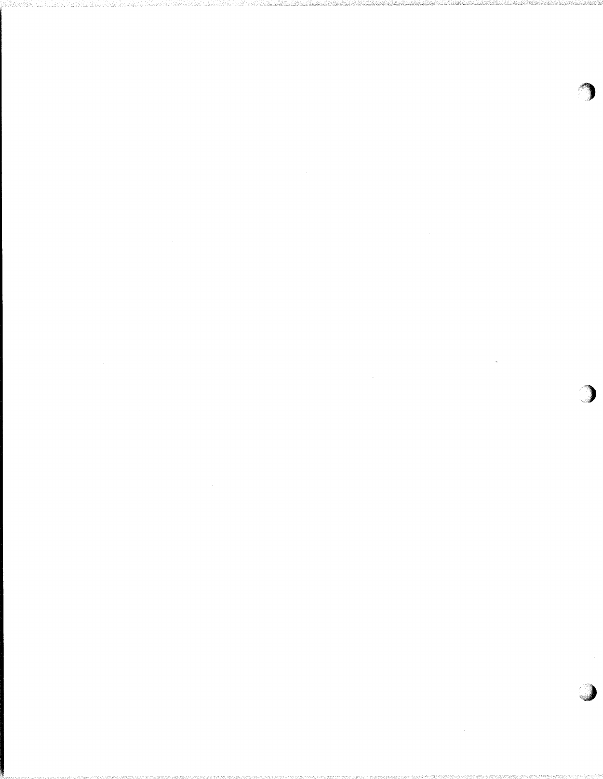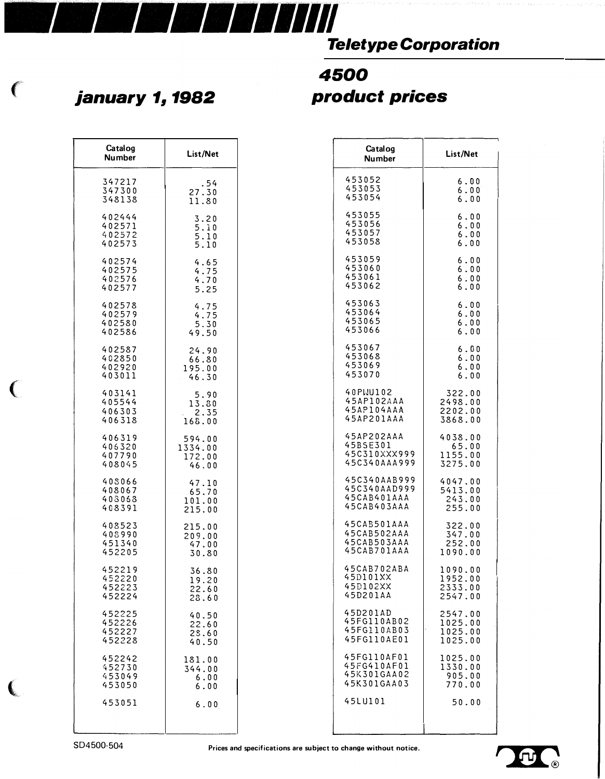### 4500 product prices

**REFERITI** 

| Catalog<br><b>Number</b>             | List/Net                                                      | Catalog<br><b>Number</b>                           | List/Net                                |
|--------------------------------------|---------------------------------------------------------------|----------------------------------------------------|-----------------------------------------|
| 347217                               | .54                                                           | 453052                                             | 6.00                                    |
| 347300                               | 27.30                                                         | 453053                                             | 6.00                                    |
| 348138                               | 11.80                                                         | 453054                                             | 6.00                                    |
| 402444                               | 3.20                                                          | 453055                                             | 6.00                                    |
| 402571                               | 5.10                                                          | 453056                                             | 6.00                                    |
| 402572                               | 5.10                                                          | 453057                                             | 6.00                                    |
| 402573                               | 5.10                                                          | 453058                                             | 6.00                                    |
| 402574                               | 4.65                                                          | 453059                                             | 6.00                                    |
| 402575                               | 4.75                                                          | 453060                                             | 6.00                                    |
| 402576                               | 4.70                                                          | 453061                                             | 6.00                                    |
| 402577                               | 5.25                                                          | 453062                                             | 6.00                                    |
| 402578                               | 4.75                                                          | 453063                                             | 6.00                                    |
| 402579                               | 4.75                                                          | 453064                                             | 6.00                                    |
| 402580                               | 5.30                                                          | 453065                                             | 6.00                                    |
| 402586                               | 49.50                                                         | 453066                                             | 6.00                                    |
| 402587                               | 24.90                                                         | 453067                                             | 6.00                                    |
| 402850                               | 66.80                                                         | 453068                                             | 6.00                                    |
| 402920                               | 195.00                                                        | 453069                                             | 6.00                                    |
| 403011                               | 46.30                                                         | 453070                                             | 6.00                                    |
| 403141<br>405544<br>406303<br>406318 | 5.90<br>13.80<br>2.35<br>$\mathcal{L}^{\text{max}}$<br>168.00 | 40PWU102<br>45AP102AAA<br>45AP104AAA<br>45AP201AAA | 322.00<br>2498.00<br>2202.00<br>3868.00 |
| 406319                               | 594.00                                                        | 45AP202AAA                                         | 4038.00                                 |
| 406320                               | 1334.00                                                       | 45BSE301                                           | 65.00                                   |
| 407790                               | 172.00                                                        | 45C310XXX999                                       | 1155.00                                 |
| 408045                               | 46,00                                                         | 45C340AAA999                                       | 3275.00                                 |
| 408066                               | 47.10                                                         | 45C340AAB999                                       | 4047.00                                 |
| 408067                               | 65.70                                                         | 45C340AAD999                                       | 5413.00                                 |
| 408068                               | 101.00                                                        | 45CAB401AAA                                        | 243.00                                  |
| 408391                               | 215.00                                                        | 45CAB403AAA                                        | 255.00                                  |
| 408523                               | 215.00                                                        | 45CAB501AAA                                        | 322.00                                  |
| 408990                               | 209.00                                                        | 45CAB502AAA                                        | 347.00                                  |
| 451340                               | 47.00                                                         | 45CAB503AAA                                        | 252.00                                  |
| 452205                               | 30.80                                                         | 45CAB701AAA                                        | 1090.00                                 |
| 452219                               | 36.80                                                         | 45CAB702ABA                                        | 1090.00                                 |
| 452220                               | 19.20                                                         | 45D101XX                                           | 1952.00                                 |
| 452223                               | 22.60                                                         | 45D102XX                                           | 2333.00                                 |
| 452224                               | 28.60                                                         | 45D201AA                                           | 2547.00                                 |
| 452225                               | 40.50                                                         | 45D201AD                                           | 2547.00                                 |
| 452226                               | 22.60                                                         | 45FG110AB02                                        | 1025.00                                 |
| 452227                               | 28.60                                                         | 45FG110AB03                                        | 1025.00                                 |
| 452228                               | 40.50                                                         | 45FG110AE01                                        | 1025.00                                 |
| 452242                               | 181.00                                                        | 45FG110AF01                                        | 1025.00                                 |
| 452730                               | 344.00                                                        | 45FG410AF01                                        | 1330.00                                 |
| 453049                               | 6.00                                                          | 45K301GAA02                                        | 905.00                                  |
| 453050                               | 6.00                                                          | 45K301GAA03                                        | 770.00                                  |
| 453051                               | 6.00                                                          | 45LU101                                            | 50.00                                   |
|                                      |                                                               |                                                    |                                         |

| Catalog<br>Number                                          | List/Net                                 |  |
|------------------------------------------------------------|------------------------------------------|--|
| 453052<br>453053<br>453054                                 | 6.00<br>6.00<br>6.00                     |  |
| 453055<br>453056<br>453057<br>453058                       | 6.00<br>6.00<br>6.00<br>6.00             |  |
| 453059<br>453060<br>453061<br>453062                       | 6.00<br>6.00<br>6.00<br>6.00             |  |
| 453063<br>453064<br>453065<br>453066                       | 6.00<br>6.00<br>6.00<br>6.00             |  |
| 453067<br>453068<br>453069<br>453070                       | 6.00<br>6.00<br>6.00<br>6.00             |  |
| 40PWU102<br>45AP102AAA<br>45AP104AAA<br>45AP201AAA         | 322.00<br>2498.00<br>2202.00<br>3868.00  |  |
| 45AP202AAA<br>45BSE301<br>45C310XXX999<br>45C340AAA999     | 4038.00<br>65.00<br>1155.00<br>3275.00   |  |
| 45C340AAB999<br>45C340AAD999<br>45CAB40lAAA<br>45CAB403AAA | 4047.00<br>5413.00<br>243.00<br>255.00   |  |
| 45CAB50lAAA<br>45CAB502AAA<br>45CAB503AAA<br>45CAB701AAA   | 322.00<br>347.00<br>252.00<br>1090.00    |  |
| 45CAB702ABA<br>45D101XX<br>45D102XX<br>45D201AA            | 1090.00<br>1952.00<br>2333.00<br>2547.00 |  |
| 45D201AD<br>45FG110AB02<br>45FG110AB03<br>45FGll0AE0l      | 2547.00<br>1025.00<br>1025.00<br>1025.00 |  |
| 45FGll0AF0l<br>45FG410AF01<br>45K301GAA02<br>45K301GAA03   | 1025.00<br>1330.00<br>905.00<br>770.00   |  |
| 45LU101                                                    | 50.00                                    |  |
|                                                            |                                          |  |

# $\epsilon$  january 1, 1982

ı.

 $\big($ 

(